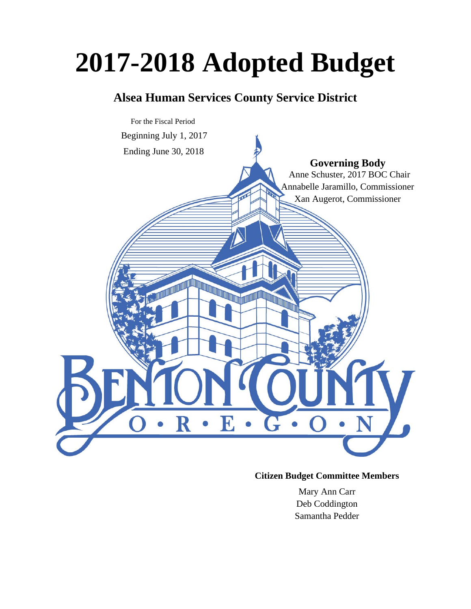# **2017-2018 Adopted Budget**

# **Alsea Human Services County Service District**



### **Citizen Budget Committee Members**

Mary Ann Carr Deb Coddington Samantha Pedder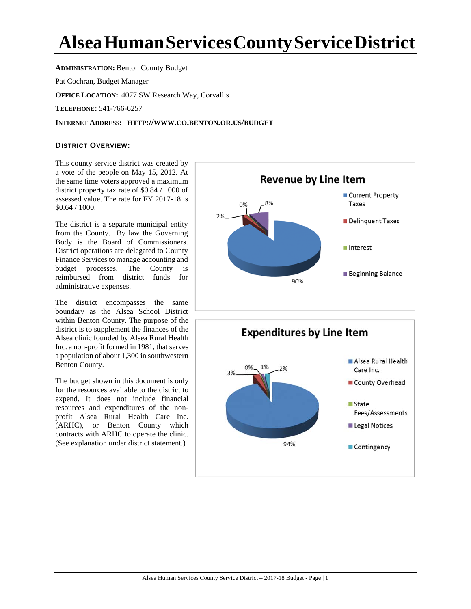# **AlseaHumanServicesCountyServiceDistrict**

**ADMINISTRATION: Benton County Budget** 

Pat Cochran, Budget Manager

**OFFICE LOCATION:** 4077 SW Research Way, Corvallis

**TELEPHONE:** 541-766-6257

#### **INTERNET ADDRESS: HTTP://WWW.CO.BENTON.OR.US/BUDGET**

#### **DISTRICT OVERVIEW:**

This county service district was created by a vote of the people on May 15, 2012. At the same time voters approved a maximum district property tax rate of \$0.84 / 1000 of assessed value. The rate for FY 2017-18 is \$0.64 / 1000.

The district is a separate municipal entity from the County. By law the Governing Body is the Board of Commissioners. District operations are delegated to County Finance Services to manage accounting and budget processes. The County is reimbursed from district funds for administrative expenses.

The district encompasses the same boundary as the Alsea School District within Benton County. The purpose of the district is to supplement the finances of the Alsea clinic founded by Alsea Rural Health Inc. a non-profit formed in 1981, that serves a population of about 1,300 in southwestern Benton County.

The budget shown in this document is only for the resources available to the district to expend. It does not include financial resources and expenditures of the nonprofit Alsea Rural Health Care Inc. (ARHC), or Benton County which contracts with ARHC to operate the clinic. (See explanation under district statement.)



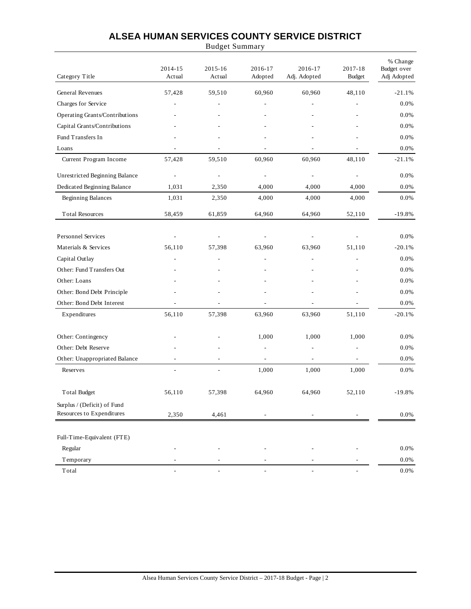## **ALSEA HUMAN SERVICES COUNTY SERVICE DISTRICT**

Budget Summary

| Category Title                 | 2014-15<br>Actual        | 2015-16<br>Actual        | 2016-17<br>Adopted | 2016-17<br>Adj. Adopted      | 2017-18<br><b>Budget</b> | % Change<br>Budget over<br>Adj Adopted |
|--------------------------------|--------------------------|--------------------------|--------------------|------------------------------|--------------------------|----------------------------------------|
| General Revenues               | 57,428                   | 59,510                   | 60,960             | 60,960                       | 48,110                   | $-21.1%$                               |
| Charges for Service            |                          |                          |                    |                              |                          | 0.0%                                   |
| Operating Grants/Contributions |                          |                          |                    |                              |                          | $0.0\%$                                |
| Capital Grants/Contributions   |                          |                          |                    |                              |                          | 0.0%                                   |
| Fund Transfers In              |                          |                          |                    |                              |                          | 0.0%                                   |
| Loans                          |                          |                          |                    |                              |                          | 0.0%                                   |
| Current Program Income         | 57,428                   | 59,510                   | 60,960             | 60,960                       | 48,110                   | $-21.1%$                               |
| Unrestricted Beginning Balance | $\overline{a}$           | $\frac{1}{2}$            | $\overline{a}$     | ÷,                           | L,                       | 0.0%                                   |
| Dedicated Beginning Balance    | 1,031                    | 2,350                    | 4,000              | 4,000                        | 4,000                    | 0.0%                                   |
| <b>Beginning Balances</b>      | 1,031                    | 2,350                    | 4,000              | 4,000                        | 4,000                    | 0.0%                                   |
| <b>Total Resources</b>         | 58,459                   | 61,859                   | 64,960             | 64,960                       | 52,110                   | $-19.8%$                               |
| Personnel Services             |                          |                          |                    |                              |                          | 0.0%                                   |
| Materials & Services           | 56,110                   | 57,398                   | 63,960             | 63,960                       | 51,110                   | $-20.1%$                               |
| Capital Outlay                 |                          |                          |                    |                              |                          | 0.0%                                   |
| Other: Fund Transfers Out      |                          |                          |                    |                              |                          | 0.0%                                   |
| Other: Loans                   |                          |                          |                    |                              |                          | 0.0%                                   |
| Other: Bond Debt Principle     |                          |                          |                    |                              |                          | 0.0%                                   |
| Other: Bond Debt Interest      |                          | $\overline{\phantom{a}}$ | L,                 | ÷,                           |                          | 0.0%                                   |
| Expenditures                   | 56,110                   | 57,398                   | 63,960             | 63,960                       | 51,110                   | $-20.1%$                               |
| Other: Contingency             |                          |                          | 1,000              | 1,000                        | 1,000                    | 0.0%                                   |
| Other: Debt Reserve            |                          |                          | $\overline{a}$     |                              | $\overline{a}$           | 0.0%                                   |
| Other: Unappropriated Balance  | $\overline{\phantom{a}}$ | $\overline{\phantom{a}}$ | $\overline{a}$     | $\qquad \qquad \blacksquare$ | $\overline{a}$           | 0.0%                                   |
| Reserves                       |                          |                          | 1,000              | 1,000                        | 1,000                    | 0.0%                                   |
| <b>Total Budget</b>            | 56,110                   | 57,398                   | 64,960             | 64,960                       | 52,110                   | $-19.8%$                               |
| Surplus / (Deficit) of Fund    |                          |                          |                    |                              |                          |                                        |
| Resources to Expenditures      | 2,350                    | 4,461                    |                    |                              |                          | 0.0%                                   |
| Full-Time-Equivalent (FTE)     |                          |                          |                    |                              |                          |                                        |
| Regular                        |                          |                          |                    |                              |                          | 0.0%                                   |
| Temporary                      |                          |                          |                    |                              |                          | 0.0%                                   |
| Total                          | $\overline{\phantom{a}}$ | $\overline{\phantom{a}}$ | $\overline{a}$     | $\overline{\phantom{a}}$     |                          | $0.0\%$                                |